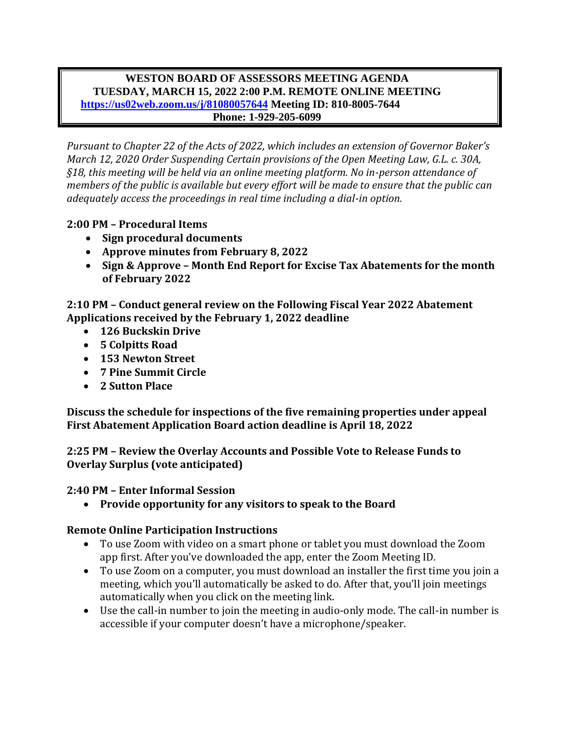#### **WESTON BOARD OF ASSESSORS MEETING AGENDA TUESDAY, MARCH 15, 2022 2:00 P.M. REMOTE ONLINE MEETING <https://us02web.zoom.us/j/81080057644> Meeting ID: 810-8005-7644 Phone: 1-929-205-6099**

*Pursuant to Chapter 22 of the Acts of 2022, which includes an extension of Governor Baker's March 12, 2020 Order Suspending Certain provisions of the Open Meeting Law, G.L. c. 30A, §18, this meeting will be held via an online meeting platform. No in-person attendance of members of the public is available but every effort will be made to ensure that the public can adequately access the proceedings in real time including a dial-in option.*

# **2:00 PM – Procedural Items**

- **Sign procedural documents**
- **Approve minutes from February 8, 2022**
- **Sign & Approve – Month End Report for Excise Tax Abatements for the month of February 2022**

**2:10 PM – Conduct general review on the Following Fiscal Year 2022 Abatement Applications received by the February 1, 2022 deadline**

- **126 Buckskin Drive**
- **5 Colpitts Road**
- **153 Newton Street**
- **7 Pine Summit Circle**
- **2 Sutton Place**

**Discuss the schedule for inspections of the five remaining properties under appeal First Abatement Application Board action deadline is April 18, 2022**

**2:25 PM – Review the Overlay Accounts and Possible Vote to Release Funds to Overlay Surplus (vote anticipated)**

#### **2:40 PM – Enter Informal Session**

• **Provide opportunity for any visitors to speak to the Board**

#### **Remote Online Participation Instructions**

- To use Zoom with video on a smart phone or tablet you must download the Zoom app first. After you've downloaded the app, enter the Zoom Meeting ID.
- To use Zoom on a computer, you must download an installer the first time you join a meeting, which you'll automatically be asked to do. After that, you'll join meetings automatically when you click on the meeting link.
- Use the call-in number to join the meeting in audio-only mode. The call-in number is accessible if your computer doesn't have a microphone/speaker.